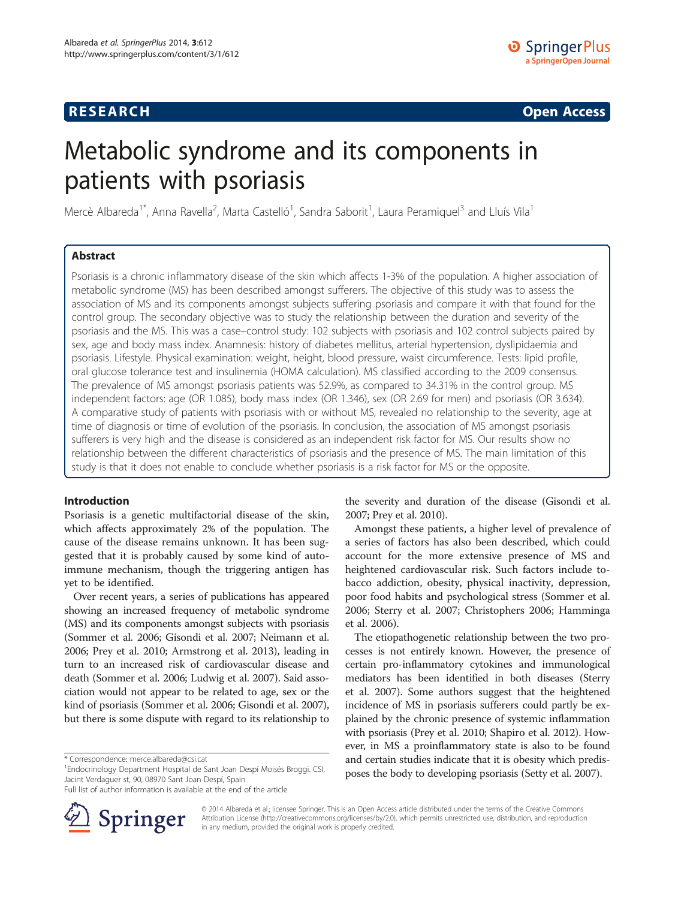# **RESEARCH CHE Open Access**

# Metabolic syndrome and its components in patients with psoriasis

Mercè Albareda<sup>1\*</sup>, Anna Ravella<sup>2</sup>, Marta Castelló<sup>1</sup>, Sandra Saborit<sup>1</sup>, Laura Peramiquel<sup>3</sup> and Lluís Vila<sup>1</sup>

# Abstract

Psoriasis is a chronic inflammatory disease of the skin which affects 1-3% of the population. A higher association of metabolic syndrome (MS) has been described amongst sufferers. The objective of this study was to assess the association of MS and its components amongst subjects suffering psoriasis and compare it with that found for the control group. The secondary objective was to study the relationship between the duration and severity of the psoriasis and the MS. This was a case–control study: 102 subjects with psoriasis and 102 control subjects paired by sex, age and body mass index. Anamnesis: history of diabetes mellitus, arterial hypertension, dyslipidaemia and psoriasis. Lifestyle. Physical examination: weight, height, blood pressure, waist circumference. Tests: lipid profile, oral glucose tolerance test and insulinemia (HOMA calculation). MS classified according to the 2009 consensus. The prevalence of MS amongst psoriasis patients was 52.9%, as compared to 34.31% in the control group. MS independent factors: age (OR 1.085), body mass index (OR 1.346), sex (OR 2.69 for men) and psoriasis (OR 3.634). A comparative study of patients with psoriasis with or without MS, revealed no relationship to the severity, age at time of diagnosis or time of evolution of the psoriasis. In conclusion, the association of MS amongst psoriasis sufferers is very high and the disease is considered as an independent risk factor for MS. Our results show no relationship between the different characteristics of psoriasis and the presence of MS. The main limitation of this study is that it does not enable to conclude whether psoriasis is a risk factor for MS or the opposite.

# Introduction

Psoriasis is a genetic multifactorial disease of the skin, which affects approximately 2% of the population. The cause of the disease remains unknown. It has been suggested that it is probably caused by some kind of autoimmune mechanism, though the triggering antigen has yet to be identified.

Over recent years, a series of publications has appeared showing an increased frequency of metabolic syndrome (MS) and its components amongst subjects with psoriasis (Sommer et al. [2006](#page-6-0); Gisondi et al. [2007;](#page-6-0) Neimann et al. [2006;](#page-6-0) Prey et al. [2010;](#page-6-0) Armstrong et al. [2013\)](#page-6-0), leading in turn to an increased risk of cardiovascular disease and death (Sommer et al. [2006](#page-6-0); Ludwig et al. [2007](#page-6-0)). Said association would not appear to be related to age, sex or the kind of psoriasis (Sommer et al. [2006;](#page-6-0) Gisondi et al. [2007](#page-6-0)), but there is some dispute with regard to its relationship to

\* Correspondence: [merce.albareda@csi.cat](mailto:merce.albareda@csi.cat) <sup>1</sup>

<sup>1</sup>Endocrinology Department Hospital de Sant Joan Despí Moisés Broggi. CSI, Jacint Verdaguer st, 90, 08970 Sant Joan Despí, Spain

Full list of author information is available at the end of the article



the severity and duration of the disease (Gisondi et al. [2007;](#page-6-0) Prey et al. [2010\)](#page-6-0).

Amongst these patients, a higher level of prevalence of a series of factors has also been described, which could account for the more extensive presence of MS and heightened cardiovascular risk. Such factors include tobacco addiction, obesity, physical inactivity, depression, poor food habits and psychological stress (Sommer et al. [2006](#page-6-0); Sterry et al. [2007;](#page-6-0) Christophers [2006;](#page-6-0) Hamminga et al. [2006\)](#page-6-0).

The etiopathogenetic relationship between the two processes is not entirely known. However, the presence of certain pro-inflammatory cytokines and immunological mediators has been identified in both diseases (Sterry et al. [2007](#page-6-0)). Some authors suggest that the heightened incidence of MS in psoriasis sufferers could partly be explained by the chronic presence of systemic inflammation with psoriasis (Prey et al. [2010;](#page-6-0) Shapiro et al. [2012\)](#page-6-0). However, in MS a proinflammatory state is also to be found and certain studies indicate that it is obesity which predisposes the body to developing psoriasis (Setty et al. [2007](#page-6-0)).

© 2014 Albareda et al.; licensee Springer. This is an Open Access article distributed under the terms of the Creative Commons Attribution License [\(http://creativecommons.org/licenses/by/2.0\)](http://creativecommons.org/licenses/by/2.0), which permits unrestricted use, distribution, and reproduction in any medium, provided the original work is properly credited.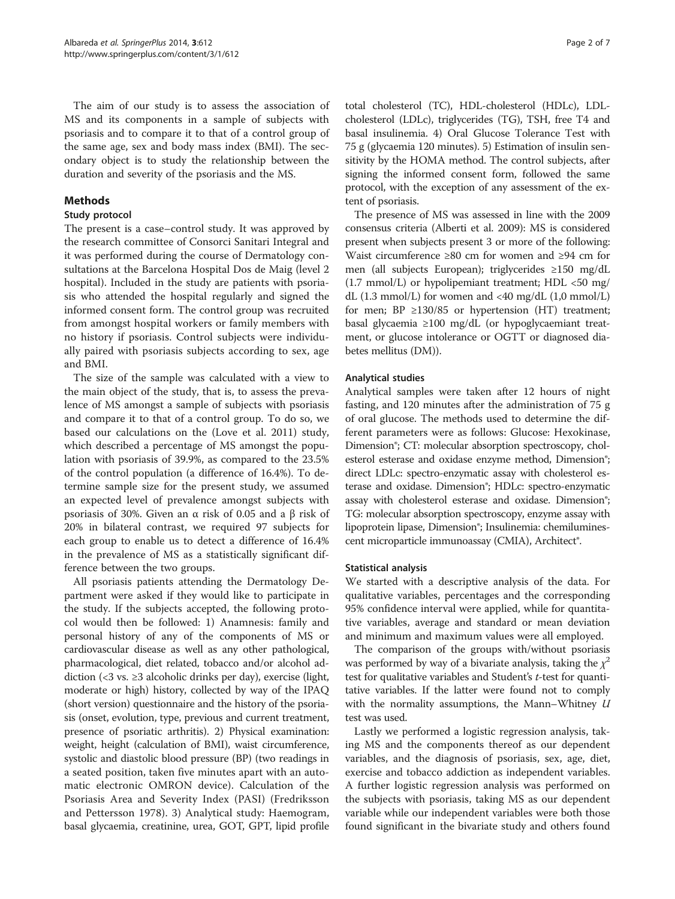The aim of our study is to assess the association of MS and its components in a sample of subjects with psoriasis and to compare it to that of a control group of the same age, sex and body mass index (BMI). The secondary object is to study the relationship between the duration and severity of the psoriasis and the MS.

# Methods

### Study protocol

The present is a case–control study. It was approved by the research committee of Consorci Sanitari Integral and it was performed during the course of Dermatology consultations at the Barcelona Hospital Dos de Maig (level 2 hospital). Included in the study are patients with psoriasis who attended the hospital regularly and signed the informed consent form. The control group was recruited from amongst hospital workers or family members with no history if psoriasis. Control subjects were individually paired with psoriasis subjects according to sex, age and BMI.

The size of the sample was calculated with a view to the main object of the study, that is, to assess the prevalence of MS amongst a sample of subjects with psoriasis and compare it to that of a control group. To do so, we based our calculations on the (Love et al. [2011\)](#page-6-0) study, which described a percentage of MS amongst the population with psoriasis of 39.9%, as compared to the 23.5% of the control population (a difference of 16.4%). To determine sample size for the present study, we assumed an expected level of prevalence amongst subjects with psoriasis of 30%. Given an α risk of 0.05 and a β risk of 20% in bilateral contrast, we required 97 subjects for each group to enable us to detect a difference of 16.4% in the prevalence of MS as a statistically significant difference between the two groups.

All psoriasis patients attending the Dermatology Department were asked if they would like to participate in the study. If the subjects accepted, the following protocol would then be followed: 1) Anamnesis: family and personal history of any of the components of MS or cardiovascular disease as well as any other pathological, pharmacological, diet related, tobacco and/or alcohol addiction (<3 vs. ≥3 alcoholic drinks per day), exercise (light, moderate or high) history, collected by way of the IPAQ (short version) questionnaire and the history of the psoriasis (onset, evolution, type, previous and current treatment, presence of psoriatic arthritis). 2) Physical examination: weight, height (calculation of BMI), waist circumference, systolic and diastolic blood pressure (BP) (two readings in a seated position, taken five minutes apart with an automatic electronic OMRON device). Calculation of the Psoriasis Area and Severity Index (PASI) (Fredriksson and Pettersson [1978\)](#page-6-0). 3) Analytical study: Haemogram, basal glycaemia, creatinine, urea, GOT, GPT, lipid profile

total cholesterol (TC), HDL-cholesterol (HDLc), LDLcholesterol (LDLc), triglycerides (TG), TSH, free T4 and basal insulinemia. 4) Oral Glucose Tolerance Test with 75 g (glycaemia 120 minutes). 5) Estimation of insulin sensitivity by the HOMA method. The control subjects, after signing the informed consent form, followed the same protocol, with the exception of any assessment of the extent of psoriasis.

The presence of MS was assessed in line with the 2009 consensus criteria (Alberti et al. [2009\)](#page-6-0): MS is considered present when subjects present 3 or more of the following: Waist circumference ≥80 cm for women and ≥94 cm for men (all subjects European); triglycerides ≥150 mg/dL  $(1.7 \text{ mmol/L})$  or hypolipemiant treatment; HDL <50 mg/ dL (1.3 mmol/L) for women and <40 mg/dL (1,0 mmol/L) for men;  $BP \geq 130/85$  or hypertension (HT) treatment; basal glycaemia ≥100 mg/dL (or hypoglycaemiant treatment, or glucose intolerance or OGTT or diagnosed diabetes mellitus (DM)).

# Analytical studies

Analytical samples were taken after 12 hours of night fasting, and 120 minutes after the administration of 75 g of oral glucose. The methods used to determine the different parameters were as follows: Glucose: Hexokinase, Dimension®; CT: molecular absorption spectroscopy, cholesterol esterase and oxidase enzyme method, Dimension®; direct LDLc: spectro-enzymatic assay with cholesterol esterase and oxidase. Dimension®; HDLc: spectro-enzymatic assay with cholesterol esterase and oxidase. Dimension®; TG: molecular absorption spectroscopy, enzyme assay with lipoprotein lipase, Dimension®; Insulinemia: chemiluminescent microparticle immunoassay (CMIA), Architect®.

#### Statistical analysis

We started with a descriptive analysis of the data. For qualitative variables, percentages and the corresponding 95% confidence interval were applied, while for quantitative variables, average and standard or mean deviation and minimum and maximum values were all employed.

The comparison of the groups with/without psoriasis was performed by way of a bivariate analysis, taking the  $\chi^2$ test for qualitative variables and Student's *t*-test for quantitative variables. If the latter were found not to comply with the normality assumptions, the Mann–Whitney  $U$ test was used.

Lastly we performed a logistic regression analysis, taking MS and the components thereof as our dependent variables, and the diagnosis of psoriasis, sex, age, diet, exercise and tobacco addiction as independent variables. A further logistic regression analysis was performed on the subjects with psoriasis, taking MS as our dependent variable while our independent variables were both those found significant in the bivariate study and others found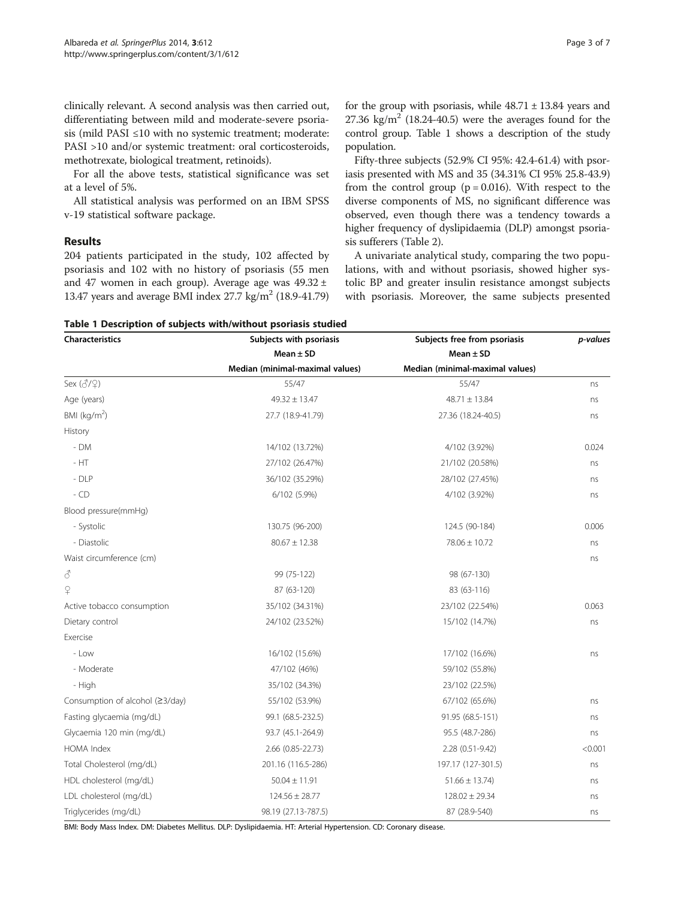clinically relevant. A second analysis was then carried out, differentiating between mild and moderate-severe psoriasis (mild PASI ≤10 with no systemic treatment; moderate: PASI >10 and/or systemic treatment: oral corticosteroids, methotrexate, biological treatment, retinoids).

For all the above tests, statistical significance was set at a level of 5%.

All statistical analysis was performed on an IBM SPSS v-19 statistical software package.

#### Results

204 patients participated in the study, 102 affected by psoriasis and 102 with no history of psoriasis (55 men and 47 women in each group). Average age was  $49.32 \pm$ 13.47 years and average BMI index  $27.7 \text{ kg/m}^2$  (18.9-41.79) for the group with psoriasis, while  $48.71 \pm 13.84$  years and 27.36 kg/m<sup>2</sup> (18.24-40.5) were the averages found for the control group. Table 1 shows a description of the study population.

Fifty-three subjects (52.9% CI 95%: 42.4-61.4) with psoriasis presented with MS and 35 (34.31% CI 95% 25.8-43.9) from the control group ( $p = 0.016$ ). With respect to the diverse components of MS, no significant difference was observed, even though there was a tendency towards a higher frequency of dyslipidaemia (DLP) amongst psoriasis sufferers (Table [2](#page-3-0)).

A univariate analytical study, comparing the two populations, with and without psoriasis, showed higher systolic BP and greater insulin resistance amongst subjects with psoriasis. Moreover, the same subjects presented

Table 1 Description of subjects with/without psoriasis studied

| Characteristics                 | Subjects with psoriasis         | Subjects free from psoriasis<br>Mean $\pm$ SD | p-values |
|---------------------------------|---------------------------------|-----------------------------------------------|----------|
|                                 | Mean $\pm$ SD                   |                                               |          |
|                                 | Median (minimal-maximal values) | Median (minimal-maximal values)               |          |
| Sex (3/9)                       | 55/47                           | 55/47                                         | ns       |
| Age (years)                     | $49.32 \pm 13.47$               | $48.71 \pm 13.84$                             | ns       |
| BMI $(kq/m2)$                   | 27.7 (18.9-41.79)               | 27.36 (18.24-40.5)                            | ns       |
| History                         |                                 |                                               |          |
| - DM                            | 14/102 (13.72%)                 | 4/102 (3.92%)                                 | 0.024    |
| $-HT$                           | 27/102 (26.47%)                 | 21/102 (20.58%)                               | ns       |
| $-DLP$                          | 36/102 (35.29%)                 | 28/102 (27.45%)                               | ns       |
| $-CD$                           | 6/102 (5.9%)                    | 4/102 (3.92%)                                 | ns       |
| Blood pressure(mmHg)            |                                 |                                               |          |
| - Systolic                      | 130.75 (96-200)                 | 124.5 (90-184)                                | 0.006    |
| - Diastolic                     | $80.67 \pm 12.38$               | 78.06 ± 10.72                                 | ns       |
| Waist circumference (cm)        |                                 |                                               | ns       |
| 8                               | 99 (75-122)                     | 98 (67-130)                                   |          |
| $\varphi$                       | 87 (63-120)                     | 83 (63-116)                                   |          |
| Active tobacco consumption      | 35/102 (34.31%)                 | 23/102 (22.54%)                               | 0.063    |
| Dietary control                 | 24/102 (23.52%)                 | 15/102 (14.7%)                                | ns       |
| Exercise                        |                                 |                                               |          |
| - Low                           | 16/102 (15.6%)                  | 17/102 (16.6%)                                | ns       |
| - Moderate                      | 47/102 (46%)                    | 59/102 (55.8%)                                |          |
| - High                          | 35/102 (34.3%)                  | 23/102 (22.5%)                                |          |
| Consumption of alcohol (≥3/day) | 55/102 (53.9%)                  | 67/102 (65.6%)                                | ns       |
| Fasting glycaemia (mg/dL)       | 99.1 (68.5-232.5)               | 91.95 (68.5-151)                              | ns       |
| Glycaemia 120 min (mg/dL)       | 93.7 (45.1-264.9)               | 95.5 (48.7-286)                               | ns       |
| HOMA Index                      | 2.66 (0.85-22.73)               | 2.28 (0.51-9.42)                              | < 0.001  |
| Total Cholesterol (mg/dL)       | 201.16 (116.5-286)              | 197.17 (127-301.5)                            | ns       |
| HDL cholesterol (mg/dL)         | $50.04 \pm 11.91$               | $51.66 \pm 13.74$                             | ns       |
| LDL cholesterol (mg/dL)         | $124.56 \pm 28.77$              | $128.02 \pm 29.34$                            | ns       |
| Triglycerides (mg/dL)           | 98.19 (27.13-787.5)             | 87 (28.9-540)                                 | ns       |

BMI: Body Mass Index. DM: Diabetes Mellitus. DLP: Dyslipidaemia. HT: Arterial Hypertension. CD: Coronary disease.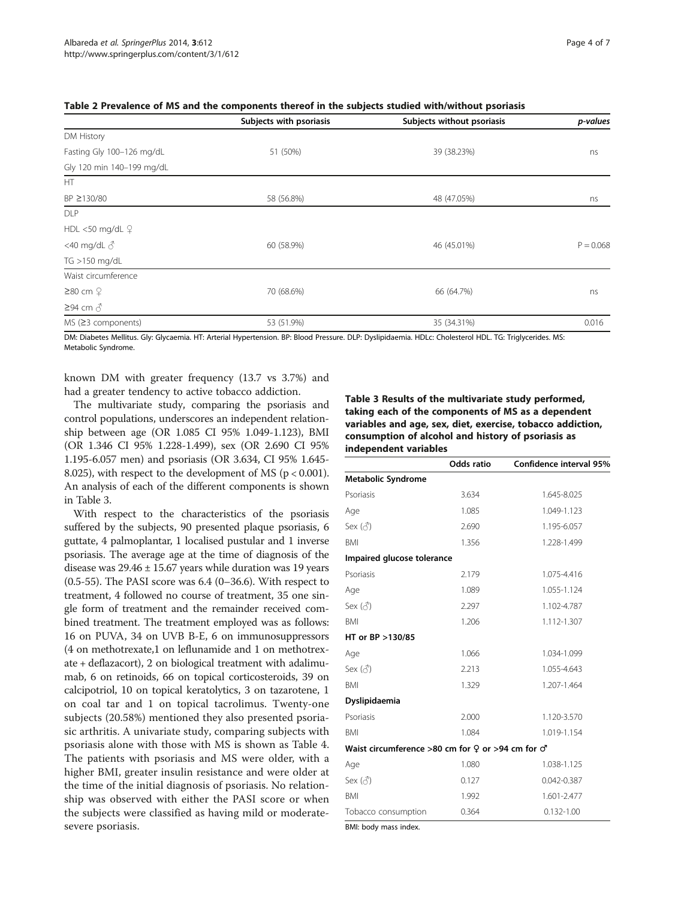|                             | Subjects with psoriasis | Subjects without psoriasis | p-values    |
|-----------------------------|-------------------------|----------------------------|-------------|
| DM History                  |                         |                            |             |
| Fasting Gly 100-126 mg/dL   | 51 (50%)                | 39 (38.23%)                | ns          |
| Gly 120 min 140-199 mg/dL   |                         |                            |             |
| HT.                         |                         |                            |             |
| BP ≥130/80                  | 58 (56.8%)              | 48 (47.05%)                | ns          |
| <b>DLP</b>                  |                         |                            |             |
| HDL <50 mg/dL $\varphi$     |                         |                            |             |
| <40 mg/dL $\delta$          | 60 (58.9%)              | 46 (45.01%)                | $P = 0.068$ |
| TG >150 mg/dL               |                         |                            |             |
| Waist circumference         |                         |                            |             |
| $≥80$ cm $\Omega$           | 70 (68.6%)              | 66 (64.7%)                 | ns          |
| $≥94$ cm $\delta$           |                         |                            |             |
| $MS$ ( $\geq$ 3 components) | 53 (51.9%)              | 35 (34.31%)                | 0.016       |

<span id="page-3-0"></span>

| Table 2 Prevalence of MS and the components thereof in the subjects studied with/without psoriasis |  |
|----------------------------------------------------------------------------------------------------|--|
|----------------------------------------------------------------------------------------------------|--|

DM: Diabetes Mellitus. Gly: Glycaemia. HT: Arterial Hypertension. BP: Blood Pressure. DLP: Dyslipidaemia. HDLc: Cholesterol HDL. TG: Triglycerides. MS: Metabolic Syndrome.

known DM with greater frequency (13.7 vs 3.7%) and had a greater tendency to active tobacco addiction.

The multivariate study, comparing the psoriasis and control populations, underscores an independent relationship between age (OR 1.085 CI 95% 1.049-1.123), BMI (OR 1.346 CI 95% 1.228-1.499), sex (OR 2.690 CI 95% 1.195-6.057 men) and psoriasis (OR 3.634, CI 95% 1.645- 8.025), with respect to the development of MS ( $p < 0.001$ ). An analysis of each of the different components is shown in Table 3.

With respect to the characteristics of the psoriasis suffered by the subjects, 90 presented plaque psoriasis, 6 guttate, 4 palmoplantar, 1 localised pustular and 1 inverse psoriasis. The average age at the time of diagnosis of the disease was  $29.46 \pm 15.67$  years while duration was 19 years  $(0.5-55)$ . The PASI score was  $6.4$   $(0-36.6)$ . With respect to treatment, 4 followed no course of treatment, 35 one single form of treatment and the remainder received combined treatment. The treatment employed was as follows: 16 on PUVA, 34 on UVB B-E, 6 on immunosuppressors (4 on methotrexate,1 on leflunamide and 1 on methotrexate + deflazacort), 2 on biological treatment with adalimumab, 6 on retinoids, 66 on topical corticosteroids, 39 on calcipotriol, 10 on topical keratolytics, 3 on tazarotene, 1 on coal tar and 1 on topical tacrolimus. Twenty-one subjects (20.58%) mentioned they also presented psoriasic arthritis. A univariate study, comparing subjects with psoriasis alone with those with MS is shown as Table [4](#page-4-0). The patients with psoriasis and MS were older, with a higher BMI, greater insulin resistance and were older at the time of the initial diagnosis of psoriasis. No relationship was observed with either the PASI score or when the subjects were classified as having mild or moderatesevere psoriasis.

Table 3 Results of the multivariate study performed, taking each of the components of MS as a dependent variables and age, sex, diet, exercise, tobacco addiction, consumption of alcohol and history of psoriasis as independent variables

|                                                           | Odds ratio | Confidence interval 95% |
|-----------------------------------------------------------|------------|-------------------------|
| <b>Metabolic Syndrome</b>                                 |            |                         |
| Psoriasis                                                 | 3.634      | 1.645-8.025             |
| Age                                                       | 1.085      | 1.049-1.123             |
| Sex $(\vec{c})$                                           | 2.690      | 1.195-6.057             |
| <b>BMI</b>                                                | 1.356      | 1.228-1.499             |
| Impaired glucose tolerance                                |            |                         |
| Psoriasis                                                 | 2.179      | 1.075-4.416             |
| Age                                                       | 1.089      | 1.055-1.124             |
|                                                           | 2.297      | 1.102-4.787             |
| BMI                                                       | 1.206      | 1.112-1.307             |
| HT or BP >130/85                                          |            |                         |
| Age                                                       | 1.066      | 1.034-1.099             |
| Sex (♂)                                                   | 2.213      | 1.055-4.643             |
| BMI                                                       | 1.329      | 1.207-1.464             |
| Dyslipidaemia                                             |            |                         |
| Psoriasis                                                 | 2.000      | 1.120-3.570             |
| BMI                                                       | 1.084      | 1.019-1.154             |
| Waist circumference >80 cm for $9$ or >94 cm for $\sigma$ |            |                         |
| Age                                                       | 1.080      | 1.038-1.125             |
|                                                           | 0.127      | 0.042-0.387             |
| <b>BMI</b>                                                | 1.992      | 1.601-2.477             |
| Tobacco consumption                                       | 0.364      | $0.132 - 1.00$          |

BMI: body mass index.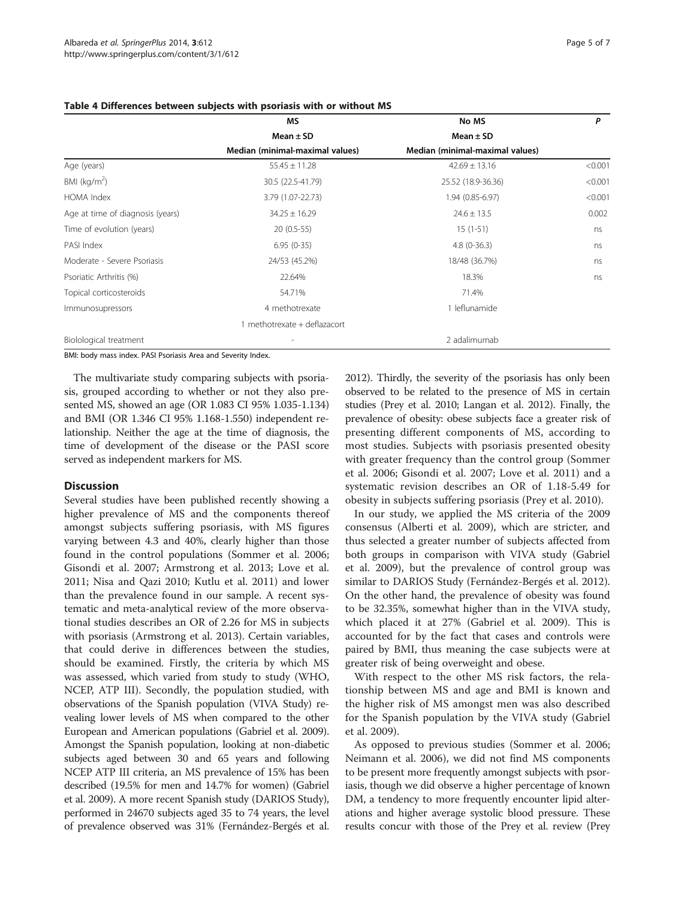|                                  | MS                              | No MS                           | P       |
|----------------------------------|---------------------------------|---------------------------------|---------|
|                                  | Mean $\pm$ SD                   | Mean $\pm$ SD                   |         |
|                                  | Median (minimal-maximal values) | Median (minimal-maximal values) |         |
| Age (years)                      | $55.45 \pm 11.28$               | $42.69 \pm 13.16$               | < 0.001 |
| BMI ( $kg/m2$ )                  | 30.5 (22.5-41.79)               | 25.52 (18.9-36.36)              | < 0.001 |
| <b>HOMA</b> Index                | 3.79 (1.07-22.73)               | 1.94 (0.85-6.97)                | < 0.001 |
| Age at time of diagnosis (years) | $34.25 \pm 16.29$               | $24.6 \pm 13.5$                 | 0.002   |
| Time of evolution (years)        | $20(0.5-55)$                    | $15(1-51)$                      | ns      |
| PASI Index                       | $6.95(0-35)$                    | $4.8(0-36.3)$                   | ns      |
| Moderate - Severe Psoriasis      | 24/53 (45.2%)                   | 18/48 (36.7%)                   | ns      |
| Psoriatic Arthritis (%)          | 22.64%                          | 18.3%                           | ns      |
| Topical corticosteroids          | 54.71%                          | 71.4%                           |         |
| Immunosupressors                 | 4 methotrexate                  | 1 leflunamide                   |         |
|                                  | methotrexate + deflazacort      |                                 |         |
| Biolological treatment           |                                 | 2 adalimumab                    |         |

#### <span id="page-4-0"></span>Table 4 Differences between subjects with psoriasis with or without MS

BMI: body mass index. PASI Psoriasis Area and Severity Index.

The multivariate study comparing subjects with psoriasis, grouped according to whether or not they also presented MS, showed an age (OR 1.083 CI 95% 1.035-1.134) and BMI (OR 1.346 CI 95% 1.168-1.550) independent relationship. Neither the age at the time of diagnosis, the time of development of the disease or the PASI score served as independent markers for MS.

# **Discussion**

Several studies have been published recently showing a higher prevalence of MS and the components thereof amongst subjects suffering psoriasis, with MS figures varying between 4.3 and 40%, clearly higher than those found in the control populations (Sommer et al. [2006](#page-6-0); Gisondi et al. [2007](#page-6-0); Armstrong et al. [2013;](#page-6-0) Love et al. [2011](#page-6-0); Nisa and Qazi [2010](#page-6-0); Kutlu et al. [2011](#page-6-0)) and lower than the prevalence found in our sample. A recent systematic and meta-analytical review of the more observational studies describes an OR of 2.26 for MS in subjects with psoriasis (Armstrong et al. [2013\)](#page-6-0). Certain variables, that could derive in differences between the studies, should be examined. Firstly, the criteria by which MS was assessed, which varied from study to study (WHO, NCEP, ATP III). Secondly, the population studied, with observations of the Spanish population (VIVA Study) revealing lower levels of MS when compared to the other European and American populations (Gabriel et al. [2009](#page-6-0)). Amongst the Spanish population, looking at non-diabetic subjects aged between 30 and 65 years and following NCEP ATP III criteria, an MS prevalence of 15% has been described (19.5% for men and 14.7% for women) (Gabriel et al. [2009\)](#page-6-0). A more recent Spanish study (DARIOS Study), performed in 24670 subjects aged 35 to 74 years, the level of prevalence observed was 31% (Fernández-Bergés et al. [2012\)](#page-6-0). Thirdly, the severity of the psoriasis has only been observed to be related to the presence of MS in certain studies (Prey et al. [2010](#page-6-0); Langan et al. [2012](#page-6-0)). Finally, the prevalence of obesity: obese subjects face a greater risk of presenting different components of MS, according to most studies. Subjects with psoriasis presented obesity with greater frequency than the control group (Sommer et al. [2006;](#page-6-0) Gisondi et al. [2007](#page-6-0); Love et al. [2011](#page-6-0)) and a systematic revision describes an OR of 1.18-5.49 for obesity in subjects suffering psoriasis (Prey et al. [2010](#page-6-0)).

In our study, we applied the MS criteria of the 2009 consensus (Alberti et al. [2009\)](#page-6-0), which are stricter, and thus selected a greater number of subjects affected from both groups in comparison with VIVA study (Gabriel et al. [2009](#page-6-0)), but the prevalence of control group was similar to DARIOS Study (Fernández-Bergés et al. [2012](#page-6-0)). On the other hand, the prevalence of obesity was found to be 32.35%, somewhat higher than in the VIVA study, which placed it at 27% (Gabriel et al. [2009\)](#page-6-0). This is accounted for by the fact that cases and controls were paired by BMI, thus meaning the case subjects were at greater risk of being overweight and obese.

With respect to the other MS risk factors, the relationship between MS and age and BMI is known and the higher risk of MS amongst men was also described for the Spanish population by the VIVA study (Gabriel et al. [2009](#page-6-0)).

As opposed to previous studies (Sommer et al. [2006](#page-6-0); Neimann et al. [2006\)](#page-6-0), we did not find MS components to be present more frequently amongst subjects with psoriasis, though we did observe a higher percentage of known DM, a tendency to more frequently encounter lipid alterations and higher average systolic blood pressure. These results concur with those of the Prey et al. review (Prey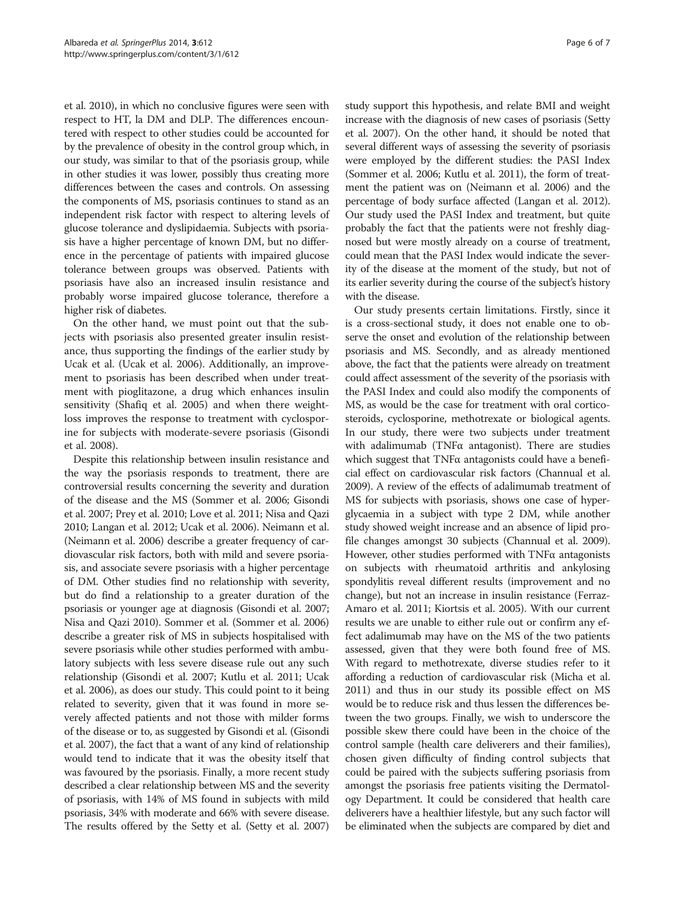et al. [2010\)](#page-6-0), in which no conclusive figures were seen with respect to HT, la DM and DLP. The differences encountered with respect to other studies could be accounted for by the prevalence of obesity in the control group which, in our study, was similar to that of the psoriasis group, while in other studies it was lower, possibly thus creating more differences between the cases and controls. On assessing the components of MS, psoriasis continues to stand as an independent risk factor with respect to altering levels of glucose tolerance and dyslipidaemia. Subjects with psoriasis have a higher percentage of known DM, but no difference in the percentage of patients with impaired glucose tolerance between groups was observed. Patients with psoriasis have also an increased insulin resistance and probably worse impaired glucose tolerance, therefore a higher risk of diabetes.

On the other hand, we must point out that the subjects with psoriasis also presented greater insulin resistance, thus supporting the findings of the earlier study by Ucak et al. (Ucak et al. [2006](#page-6-0)). Additionally, an improvement to psoriasis has been described when under treatment with pioglitazone, a drug which enhances insulin sensitivity (Shafiq et al. [2005](#page-6-0)) and when there weightloss improves the response to treatment with cyclosporine for subjects with moderate-severe psoriasis (Gisondi et al. [2008\)](#page-6-0).

Despite this relationship between insulin resistance and the way the psoriasis responds to treatment, there are controversial results concerning the severity and duration of the disease and the MS (Sommer et al. [2006](#page-6-0); Gisondi et al. [2007](#page-6-0); Prey et al. [2010;](#page-6-0) Love et al. [2011;](#page-6-0) Nisa and Qazi [2010;](#page-6-0) Langan et al. [2012](#page-6-0); Ucak et al. [2006](#page-6-0)). Neimann et al. (Neimann et al. [2006\)](#page-6-0) describe a greater frequency of cardiovascular risk factors, both with mild and severe psoriasis, and associate severe psoriasis with a higher percentage of DM. Other studies find no relationship with severity, but do find a relationship to a greater duration of the psoriasis or younger age at diagnosis (Gisondi et al. [2007](#page-6-0); Nisa and Qazi [2010\)](#page-6-0). Sommer et al. (Sommer et al. [2006](#page-6-0)) describe a greater risk of MS in subjects hospitalised with severe psoriasis while other studies performed with ambulatory subjects with less severe disease rule out any such relationship (Gisondi et al. [2007;](#page-6-0) Kutlu et al. [2011](#page-6-0); Ucak et al. [2006\)](#page-6-0), as does our study. This could point to it being related to severity, given that it was found in more severely affected patients and not those with milder forms of the disease or to, as suggested by Gisondi et al. (Gisondi et al. [2007\)](#page-6-0), the fact that a want of any kind of relationship would tend to indicate that it was the obesity itself that was favoured by the psoriasis. Finally, a more recent study described a clear relationship between MS and the severity of psoriasis, with 14% of MS found in subjects with mild psoriasis, 34% with moderate and 66% with severe disease. The results offered by the Setty et al. (Setty et al. [2007](#page-6-0))

study support this hypothesis, and relate BMI and weight increase with the diagnosis of new cases of psoriasis (Setty et al. [2007](#page-6-0)). On the other hand, it should be noted that several different ways of assessing the severity of psoriasis were employed by the different studies: the PASI Index (Sommer et al. [2006;](#page-6-0) Kutlu et al. [2011](#page-6-0)), the form of treatment the patient was on (Neimann et al. [2006\)](#page-6-0) and the percentage of body surface affected (Langan et al. [2012](#page-6-0)). Our study used the PASI Index and treatment, but quite probably the fact that the patients were not freshly diagnosed but were mostly already on a course of treatment, could mean that the PASI Index would indicate the severity of the disease at the moment of the study, but not of its earlier severity during the course of the subject's history with the disease.

Our study presents certain limitations. Firstly, since it is a cross-sectional study, it does not enable one to observe the onset and evolution of the relationship between psoriasis and MS. Secondly, and as already mentioned above, the fact that the patients were already on treatment could affect assessment of the severity of the psoriasis with the PASI Index and could also modify the components of MS, as would be the case for treatment with oral corticosteroids, cyclosporine, methotrexate or biological agents. In our study, there were two subjects under treatment with adalimumab (TNFα antagonist). There are studies which suggest that TNFα antagonists could have a beneficial effect on cardiovascular risk factors (Channual et al. [2009\)](#page-6-0). A review of the effects of adalimumab treatment of MS for subjects with psoriasis, shows one case of hyperglycaemia in a subject with type 2 DM, while another study showed weight increase and an absence of lipid profile changes amongst 30 subjects (Channual et al. [2009](#page-6-0)). However, other studies performed with TNFα antagonists on subjects with rheumatoid arthritis and ankylosing spondylitis reveal different results (improvement and no change), but not an increase in insulin resistance (Ferraz-Amaro et al. [2011](#page-6-0); Kiortsis et al. [2005](#page-6-0)). With our current results we are unable to either rule out or confirm any effect adalimumab may have on the MS of the two patients assessed, given that they were both found free of MS. With regard to methotrexate, diverse studies refer to it affording a reduction of cardiovascular risk (Micha et al. [2011\)](#page-6-0) and thus in our study its possible effect on MS would be to reduce risk and thus lessen the differences between the two groups. Finally, we wish to underscore the possible skew there could have been in the choice of the control sample (health care deliverers and their families), chosen given difficulty of finding control subjects that could be paired with the subjects suffering psoriasis from amongst the psoriasis free patients visiting the Dermatology Department. It could be considered that health care deliverers have a healthier lifestyle, but any such factor will be eliminated when the subjects are compared by diet and